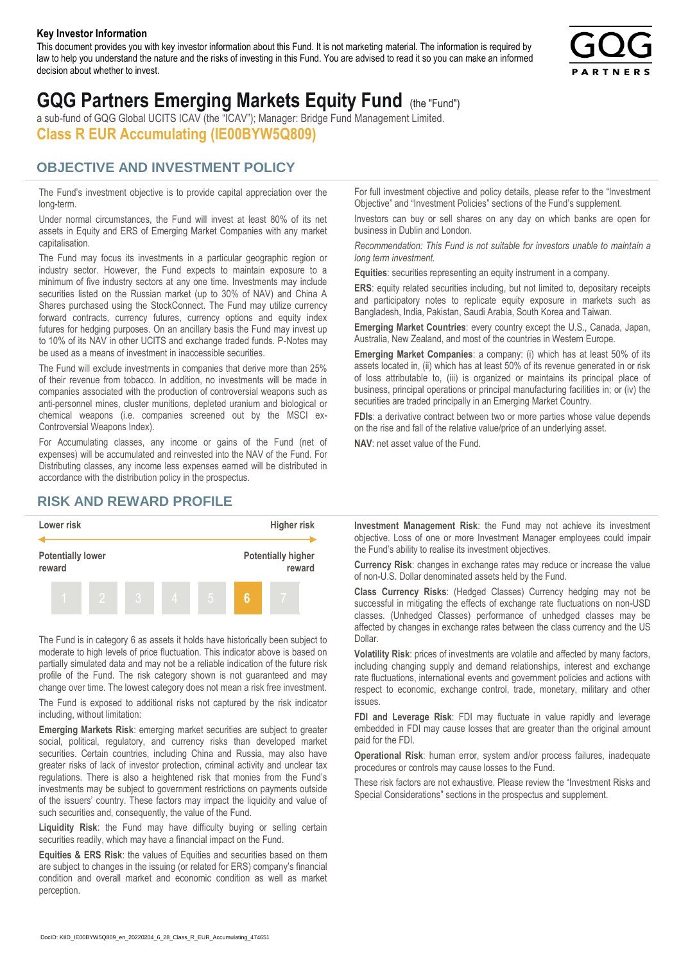#### **Key Investor Information**

This document provides you with key investor information about this Fund. It is not marketing material. The information is required by law to help you understand the nature and the risks of investing in this Fund. You are advised to read it so you can make an informed decision about whether to invest.



# **GQG Partners Emerging Markets Equity Fund** (the "Fund")

a sub-fund of GQG Global UCITS ICAV (the "ICAV"); Manager: Bridge Fund Management Limited. **Class R EUR Accumulating (IE00BYW5Q809)**

### **OBJECTIVE AND INVESTMENT POLICY**

The Fund's investment objective is to provide capital appreciation over the long-term.

Under normal circumstances, the Fund will invest at least 80% of its net assets in Equity and ERS of Emerging Market Companies with any market capitalisation.

The Fund may focus its investments in a particular geographic region or industry sector. However, the Fund expects to maintain exposure to a minimum of five industry sectors at any one time. Investments may include securities listed on the Russian market (up to 30% of NAV) and China A Shares purchased using the StockConnect. The Fund may utilize currency forward contracts, currency futures, currency options and equity index futures for hedging purposes. On an ancillary basis the Fund may invest up to 10% of its NAV in other UCITS and exchange traded funds. P-Notes may be used as a means of investment in inaccessible securities.

The Fund will exclude investments in companies that derive more than 25% of their revenue from tobacco. In addition, no investments will be made in companies associated with the production of controversial weapons such as anti-personnel mines, cluster munitions, depleted uranium and biological or chemical weapons (i.e. companies screened out by the MSCI ex-Controversial Weapons Index).

For Accumulating classes, any income or gains of the Fund (net of expenses) will be accumulated and reinvested into the NAV of the Fund. For Distributing classes, any income less expenses earned will be distributed in accordance with the distribution policy in the prospectus.

## **RISK AND REWARD PROFILE**



The Fund is in category 6 as assets it holds have historically been subject to moderate to high levels of price fluctuation. This indicator above is based on partially simulated data and may not be a reliable indication of the future risk profile of the Fund. The risk category shown is not guaranteed and may change over time. The lowest category does not mean a risk free investment.

The Fund is exposed to additional risks not captured by the risk indicator including, without limitation:

**Emerging Markets Risk**: emerging market securities are subject to greater social, political, regulatory, and currency risks than developed market securities. Certain countries, including China and Russia, may also have greater risks of lack of investor protection, criminal activity and unclear tax regulations. There is also a heightened risk that monies from the Fund's investments may be subject to government restrictions on payments outside of the issuers' country. These factors may impact the liquidity and value of such securities and, consequently, the value of the Fund.

**Liquidity Risk**: the Fund may have difficulty buying or selling certain securities readily, which may have a financial impact on the Fund.

**Equities & ERS Risk**: the values of Equities and securities based on them are subject to changes in the issuing (or related for ERS) company's financial condition and overall market and economic condition as well as market perception.

For full investment objective and policy details, please refer to the "Investment Objective" and "Investment Policies" sections of the Fund's supplement.

Investors can buy or sell shares on any day on which banks are open for business in Dublin and London.

*Recommendation: This Fund is not suitable for investors unable to maintain a long term investment.*

**Equities**: securities representing an equity instrument in a company.

**ERS:** equity related securities including, but not limited to, depositary receipts and participatory notes to replicate equity exposure in markets such as Bangladesh, India, Pakistan, Saudi Arabia, South Korea and Taiwan.

**Emerging Market Countries**: every country except the U.S., Canada, Japan, Australia, New Zealand, and most of the countries in Western Europe.

**Emerging Market Companies**: a company: (i) which has at least 50% of its assets located in, (ii) which has at least 50% of its revenue generated in or risk of loss attributable to, (iii) is organized or maintains its principal place of business, principal operations or principal manufacturing facilities in; or (iv) the securities are traded principally in an Emerging Market Country.

**FDIs**: a derivative contract between two or more parties whose value depends on the rise and fall of the relative value/price of an underlying asset.

**NAV**: net asset value of the Fund.

**Investment Management Risk**: the Fund may not achieve its investment objective. Loss of one or more Investment Manager employees could impair the Fund's ability to realise its investment objectives.

**Currency Risk**: changes in exchange rates may reduce or increase the value of non-U.S. Dollar denominated assets held by the Fund.

**Class Currency Risks**: (Hedged Classes) Currency hedging may not be successful in mitigating the effects of exchange rate fluctuations on non-USD classes. (Unhedged Classes) performance of unhedged classes may be affected by changes in exchange rates between the class currency and the US Dollar.

**Volatility Risk**: prices of investments are volatile and affected by many factors, including changing supply and demand relationships, interest and exchange rate fluctuations, international events and government policies and actions with respect to economic, exchange control, trade, monetary, military and other issues.

**FDI and Leverage Risk**: FDI may fluctuate in value rapidly and leverage embedded in FDI may cause losses that are greater than the original amount paid for the FDI.

**Operational Risk**: human error, system and/or process failures, inadequate procedures or controls may cause losses to the Fund.

These risk factors are not exhaustive. Please review the "Investment Risks and Special Considerations" sections in the prospectus and supplement.